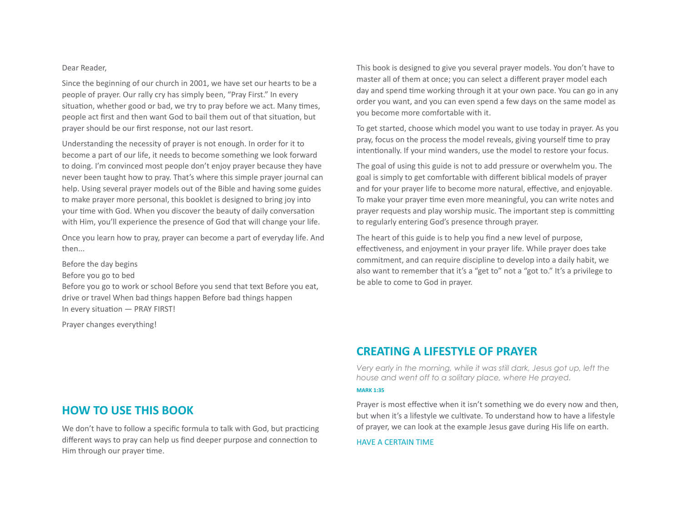#### Dear Reader.

Since the beginning of our church in 2001, we have set our hearts to be a people of prayer. Our rally cry has simply been, "Pray First." In every situation, whether good or bad, we try to pray before we act. Many times, people act first and then want God to bail them out of that situation, but prayer should be our first response, not our last resort.

Understanding the necessity of prayer is not enough. In order for it to become a part of our life, it needs to become something we look forward to doing. I'm convinced most people don't enjoy prayer because they have never been taught how to pray. That's where this simple prayer journal can help. Using several prayer models out of the Bible and having some guides to make prayer more personal, this booklet is designed to bring joy into your time with God. When you discover the beauty of daily conversation with Him, you'll experience the presence of God that will change your life.

Once you learn how to pray, prayer can become a part of everyday life. And then... 

Before the day begins Before you go to bed Before you go to work or school Before you send that text Before you eat, drive or travel When bad things happen Before bad things happen In every situation  $-$  PRAY FIRST!

Prayer changes everything!

This book is designed to give you several prayer models. You don't have to master all of them at once; you can select a different prayer model each day and spend time working through it at your own pace. You can go in any order you want, and you can even spend a few days on the same model as you become more comfortable with it.

To get started, choose which model you want to use today in prayer. As you pray, focus on the process the model reveals, giving yourself time to pray intentionally. If your mind wanders, use the model to restore your focus.

The goal of using this guide is not to add pressure or overwhelm you. The goal is simply to get comfortable with different biblical models of praver and for your prayer life to become more natural, effective, and enjoyable. To make your prayer time even more meaningful, you can write notes and prayer requests and play worship music. The important step is committing to regularly entering God's presence through prayer.

The heart of this guide is to help you find a new level of purpose, effectiveness, and enjoyment in your prayer life. While prayer does take commitment, and can require discipline to develop into a daily habit, we also want to remember that it's a "get to" not a "got to." It's a privilege to be able to come to God in prayer.

## **CREATING A LIFESTYLE OF PRAYER**

*Very early in the morning, while it was still dark, Jesus got up, left the house and went off to a solitary place, where He prayed.* 

#### **MARK 1:35**

Prayer is most effective when it isn't something we do every now and then, but when it's a lifestyle we cultivate. To understand how to have a lifestyle of prayer, we can look at the example Jesus gave during His life on earth.

#### HAVE A CERTAIN TIME.

### **HOW TO USE THIS BOOK**

We don't have to follow a specific formula to talk with God, but practicing different ways to pray can help us find deeper purpose and connection to Him through our prayer time.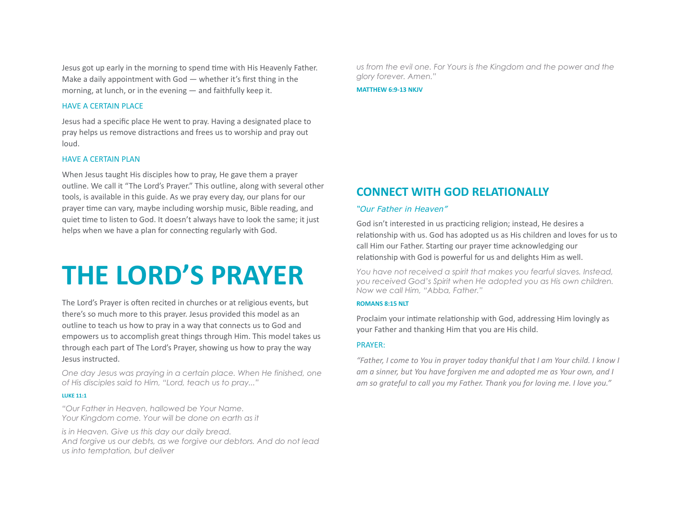Jesus got up early in the morning to spend time with His Heavenly Father. Make a daily appointment with  $God - whether it's first thing in the$ morning, at lunch, or in the evening  $-$  and faithfully keep it.

#### HAVE A CERTAIN PLACE

Jesus had a specific place He went to pray. Having a designated place to pray helps us remove distractions and frees us to worship and pray out loud. 

#### HAVE A CERTAIN PLAN

When Jesus taught His disciples how to pray, He gave them a prayer outline. We call it "The Lord's Prayer." This outline, along with several other tools, is available in this guide. As we pray every day, our plans for our prayer time can vary, maybe including worship music, Bible reading, and quiet time to listen to God. It doesn't always have to look the same; it just helps when we have a plan for connecting regularly with God.

# **THE LORD'S PRAYER**

The Lord's Prayer is often recited in churches or at religious events, but there's so much more to this prayer. Jesus provided this model as an outline to teach us how to pray in a way that connects us to God and empowers us to accomplish great things through Him. This model takes us through each part of The Lord's Prayer, showing us how to pray the way Jesus instructed.

*One day Jesus was praying in a certain place. When He finished, one of His disciples said to Him, "Lord, teach us to pray..."* 

#### **LUKE 11:1**

*"Our Father in Heaven, hallowed be Your Name. Your Kingdom come. Your will be done on earth as it* 

*is in Heaven. Give us this day our daily bread. And forgive us our debts, as we forgive our debtors. And do not lead us into temptation, but deliver* 

*us from the evil one. For Yours is the Kingdom and the power and the glory forever. Amen."* 

**MATTHEW 6:9-13 NKJV** 

# **CONNECT WITH GOD RELATIONALLY**

#### *"Our Father in Heaven"*

God isn't interested in us practicing religion; instead, He desires a relationship with us. God has adopted us as His children and loves for us to call Him our Father. Starting our prayer time acknowledging our relationship with God is powerful for us and delights Him as well.

*You have not received a spirit that makes you fearful slaves. Instead, you received God's Spirit when He adopted you as His own children. Now we call Him, "Abba, Father."* 

#### **ROMANS 8:15 NLT**

Proclaim your intimate relationship with God, addressing Him lovingly as your Father and thanking Him that you are His child.

#### PRAYER:

*"Father, I come to You in prayer today thankful that I am Your child. I know I* am a sinner, but You have forgiven me and adopted me as Your own, and I am so grateful to call you my Father. Thank you for loving me. I love you."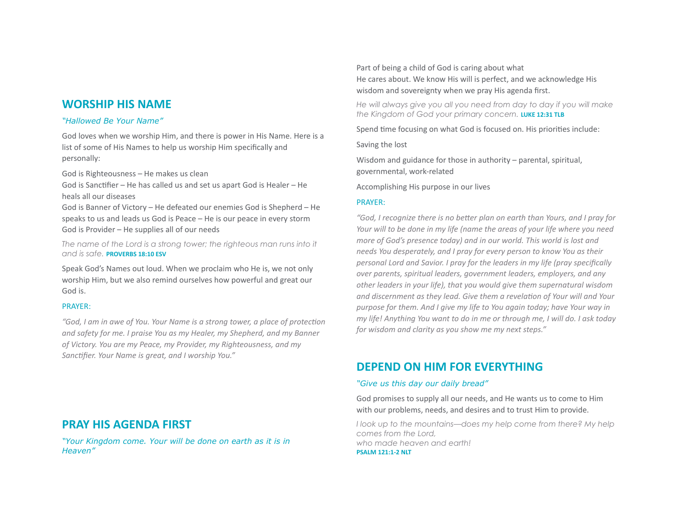## **WORSHIP HIS NAME**

#### *"Hallowed Be Your Name"*

God loves when we worship Him, and there is power in His Name. Here is a list of some of His Names to help us worship Him specifically and personally: 

God is Righteousness - He makes us clean

God is Sanctifier – He has called us and set us apart God is Healer – He heals all our diseases

God is Banner of Victory – He defeated our enemies God is Shepherd – He speaks to us and leads us God is Peace - He is our peace in every storm God is Provider – He supplies all of our needs

The name of the Lord is a strong tower; the righteous man runs into it and is safe. **PROVERBS 18:10 FSV** 

Speak God's Names out loud. When we proclaim who He is, we not only worship Him, but we also remind ourselves how powerful and great our God is. 

#### PRAYER:

"God, I am in awe of You. Your Name is a strong tower, a place of protection and safety for me. I praise You as my Healer, my Shepherd, and my Banner of Victory. You are my Peace, my Provider, my Righteousness, and my Sanctifier. Your Name is great, and I worship You."

Part of being a child of God is caring about what He cares about. We know His will is perfect, and we acknowledge His wisdom and sovereignty when we pray His agenda first.

*He will always give you all you need from day to day if you will make the Kingdom of God your primary concern.* **LUKE 12:31 TLB** 

Spend time focusing on what God is focused on. His priorities include:

Saving the lost

Wisdom and guidance for those in authority  $-$  parental, spiritual, governmental, work-related

Accomplishing His purpose in our lives

#### PRAYER:

"God, I recognize there is no better plan on earth than Yours, and I pray for *Your will to be done in my life (name the areas of your life where you need more of God's presence today)* and in our world. This world is lost and *needs You desperately, and I pray for every person to know You as their personal Lord and Savior. I pray for the leaders in my life (pray specifically over parents, spiritual leaders, government leaders, employers, and any* other leaders in your life), that you would give them supernatural wisdom and discernment as they lead. Give them a revelation of Your will and Your *purpose for them. And I give my life to You again today; have Your way in my* life! Anything You want to do in me or through me, I will do. I ask today for wisdom and clarity as you show me my next steps."

# **DEPEND ON HIM FOR EVERYTHING**

#### *"Give us this day our daily bread"*

God promises to supply all our needs, and He wants us to come to Him with our problems, needs, and desires and to trust Him to provide.

*I look up to the mountains—does my help come from there? My help comes from the Lord, who made heaven and earth!*  **PSALM 121:1-2 NLT** 

# **PRAY HIS AGENDA FIRST**

*"Your Kingdom come. Your will be done on earth as it is in Heaven"*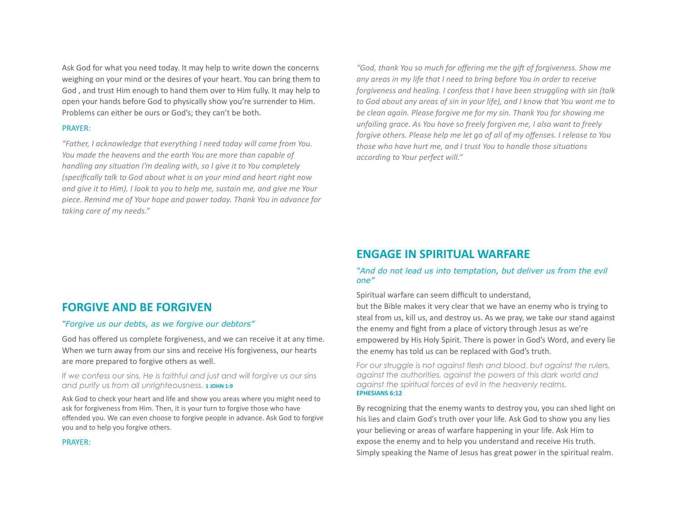Ask God for what you need today. It may help to write down the concerns weighing on your mind or the desires of your heart. You can bring them to God, and trust Him enough to hand them over to Him fully. It may help to open your hands before God to physically show you're surrender to Him. Problems can either be ours or God's; they can't be both.

#### PRAYER:

"Father, I acknowledge that everything I need today will come from You. *You made the heavens and the earth You are more than capable of handling any situation I'm dealing with, so I give it to You completely (specifically talk to God about what is on your mind and heart right now* and give it to Him). I look to you to help me, sustain me, and give me Your *piece. Remind me of Your hope and power today. Thank You in advance for*  taking care of my needs."

"God, thank You so much for offering me the gift of forgiveness. Show me any areas in my life that I need to bring before You in order to receive *forgiveness and healing. I confess that I have been struggling with sin (talk* to God about any areas of sin in your life), and I know that You want me to be clean again. Please forgive me for my sin. Thank You for showing me *unfailing grace. As You have so freely forgiven me, I also want to freely forgive others. Please help me let go of all of my offenses. I release to You those* who have hurt me, and I trust You to handle those situations *according to Your perfect will."* 

## **ENGAGE IN SPIRITUAL WARFARE**

#### *"And do not lead us into temptation, but deliver us from the evil one"*

Spiritual warfare can seem difficult to understand,

but the Bible makes it very clear that we have an enemy who is trying to steal from us, kill us, and destroy us. As we pray, we take our stand against the enemy and fight from a place of victory through Jesus as we're empowered by His Holy Spirit. There is power in God's Word, and every lie the enemy has told us can be replaced with God's truth.

*For our struggle is not against flesh and blood, but against the rulers, against the authorities, against the powers of this dark world and against the spiritual forces of evil in the heavenly realms.*  **EPHESIANS 6:12** 

By recognizing that the enemy wants to destroy you, you can shed light on his lies and claim God's truth over your life. Ask God to show you any lies your believing or areas of warfare happening in your life. Ask Him to expose the enemy and to help you understand and receive His truth. Simply speaking the Name of Jesus has great power in the spiritual realm.

## **FORGIVE AND BE FORGIVEN**

#### *"Forgive us our debts, as we forgive our debtors"*

God has offered us complete forgiveness, and we can receive it at any time. When we turn away from our sins and receive His forgiveness, our hearts are more prepared to forgive others as well.

*If we confess our sins, He is faithful and just and will forgive us our sins*  and purify us from all unrighteousness. **1 JOHN 1:9** 

Ask God to check your heart and life and show you areas where you might need to ask for forgiveness from Him. Then, it is your turn to forgive those who have offended you. We can even choose to forgive people in advance. Ask God to forgive you and to help you forgive others.

#### PRAYER: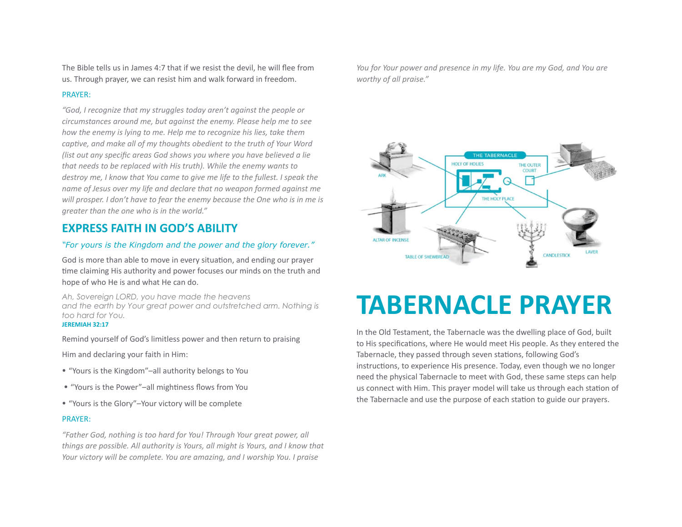The Bible tells us in James 4:7 that if we resist the devil, he will flee from us. Through prayer, we can resist him and walk forward in freedom.

#### PRAYER:

"God, I recognize that my struggles today aren't against the people or *circumstances around me, but against the enemy. Please help me to see how the enemy is lying to me. Help me to recognize his lies, take them captive, and make all of my thoughts obedient to the truth of Your Word (list out any specific areas God shows you where you have believed a lie* that needs to be replaced with His truth). While the enemy wants to *destroy* me, I know that You came to give me life to the fullest. I speak the *name of Jesus over my life and declare that no weapon formed against me* will prosper. I don't have to fear the enemy because the One who is in me is *greater than the one who is in the world."* 

# **EXPRESS FAITH IN GOD'S ABILITY**

#### *"For yours is the Kingdom and the power and the glory forever."*

God is more than able to move in every situation, and ending our prayer time claiming His authority and power focuses our minds on the truth and hope of who He is and what He can do.

*Ah, Sovereign LORD, you have made the heavens and the earth by Your great power and outstretched arm. Nothing is too hard for You.* 

#### **JEREMIAH 32:17**

Remind yourself of God's limitless power and then return to praising

Him and declaring your faith in Him:

- "Yours is the Kingdom"-all authority belongs to You
- "Yours is the Power"-all mightiness flows from You
- "Yours is the Glory"-Your victory will be complete

#### PRAYER:

"Father God, nothing is too hard for You! Through Your great power, all *things are possible. All authority is Yours, all might is Yours, and I know that Your victory will be complete. You are amazing, and I worship You. I praise* 

*You for Your power and presence in my life. You are my God, and You are* worthy of all praise."



# **TABERNACLE PRAYER**

In the Old Testament, the Tabernacle was the dwelling place of God, built to His specifications, where He would meet His people. As they entered the Tabernacle, they passed through seven stations, following God's instructions, to experience His presence. Today, even though we no longer need the physical Tabernacle to meet with God, these same steps can help us connect with Him. This prayer model will take us through each station of the Tabernacle and use the purpose of each station to guide our prayers.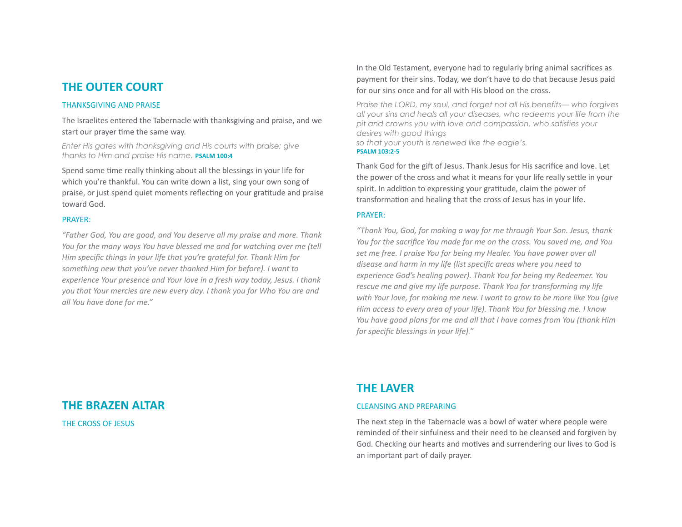## **THE OUTER COURT**

#### **THANKSGIVING AND PRAISE**

The Israelites entered the Tabernacle with thanksgiving and praise, and we start our prayer time the same way.

*Enter His gates with thanksgiving and His courts with praise; give thanks to Him and praise His name.* **PSALM 100:4** 

Spend some time really thinking about all the blessings in your life for which you're thankful. You can write down a list, sing your own song of praise, or just spend quiet moments reflecting on your gratitude and praise toward God.

#### PRAYER:

"Father God, You are good, and You deserve all my praise and more. Thank *You for the many ways You have blessed me and for watching over me (tell Him* specific things in your life that you're grateful for. Thank Him for something new that you've never thanked Him for before). I want to *experience Your presence and Your love in a fresh way today, Jesus. I thank* you that Your mercies are new every day. I thank you for Who You are and *all You have done for me."* 

In the Old Testament, everyone had to regularly bring animal sacrifices as payment for their sins. Today, we don't have to do that because Jesus paid for our sins once and for all with His blood on the cross.

*Praise the LORD, my soul, and forget not all His benefits— who forgives all your sins and heals all your diseases, who redeems your life from the pit and crowns you with love and compassion, who satisfies your desires with good things so that your youth is renewed like the eagle's.*  **PSALM 103:2-5** 

Thank God for the gift of Jesus. Thank Jesus for His sacrifice and love. Let the power of the cross and what it means for your life really settle in your spirit. In addition to expressing your gratitude, claim the power of transformation and healing that the cross of Jesus has in your life.

#### PRAYER:

*"Thank You, God, for making a way for me through Your Son. Jesus, thank You for the sacrifice You made for me on the cross. You saved me, and You* set me free. I praise You for being my Healer. You have power over all disease and harm in my life (list specific areas where you need to experience God's healing power). Thank You for being my Redeemer. You rescue me and give my life purpose. Thank You for transforming my life *with Your love, for making me new. I want to grow to be more like You (give Him access to every area of your life). Thank You for blessing me. I know You have good plans for me and all that I have comes from You (thank Him*) for specific blessings in your life)."

## **THE BRAZEN ALTAR**

THE CROSS OF JESUS

# **THE LAVER**

#### **CLEANSING AND PREPARING**

The next step in the Tabernacle was a bowl of water where people were reminded of their sinfulness and their need to be cleansed and forgiven by God. Checking our hearts and motives and surrendering our lives to God is an important part of daily prayer.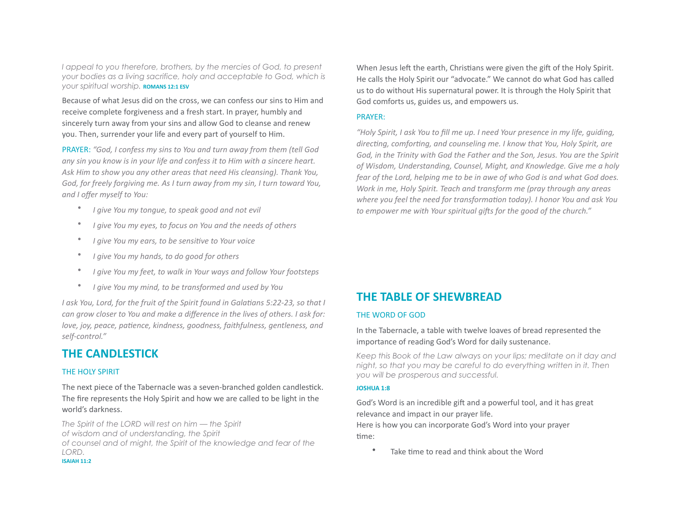*I appeal to you therefore, brothers, by the mercies of God, to present your bodies as a living sacrifice, holy and acceptable to God, which is your spiritual worship.* **ROMANS 12:1 ESV** 

Because of what Jesus did on the cross, we can confess our sins to Him and receive complete forgiveness and a fresh start. In prayer, humbly and sincerely turn away from your sins and allow God to cleanse and renew you. Then, surrender your life and every part of yourself to Him.

PRAYER: "God, I confess my sins to You and turn away from them (tell God any sin you know is in your life and confess it to Him with a sincere heart. Ask Him to show you any other areas that need His cleansing). Thank You, God, for freely forgiving me. As I turn away from my sin, I turn toward You, and *I* offer myself to You:

- *I give You my tongue, to speak good and not evil*
- *I give You my eyes, to focus on You and the needs of others*
- *I give You my ears, to be sensitive to Your voice*
- *I give You my hands, to do good for others*
- *I give You my feet, to walk in Your ways and follow Your footsteps*
- *I give You my mind, to be transformed and used by You*

*I* ask You, Lord, for the fruit of the Spirit found in Galatians 5:22-23, so that *I can grow closer to You and make a difference in the lives of others. I ask for: love, joy, peace, patience, kindness, goodness, faithfulness, gentleness, and* self-control."

# **THE CANDLESTICK**

#### THE HOLY SPIRIT

The next piece of the Tabernacle was a seven-branched golden candlestick. The fire represents the Holy Spirit and how we are called to be light in the world's darkness.

*The Spirit of the LORD will rest on him — the Spirit of wisdom and of understanding, the Spirit of counsel and of might, the Spirit of the knowledge and fear of the LORD.*  **ISAIAH 11:2** 

When Jesus left the earth, Christians were given the gift of the Holy Spirit. He calls the Holy Spirit our "advocate." We cannot do what God has called us to do without His supernatural power. It is through the Holy Spirit that God comforts us, guides us, and empowers us.

#### PRAYER:

*"Holy Spirit, I ask You to fill me up. I need Your presence in my life, guiding,*  directing, comforting, and counseling me. I know that You, Holy Spirit, are God, in the Trinity with God the Father and the Son, Jesus. You are the Spirit of Wisdom, Understanding, Counsel, Might, and Knowledge. Give me a holy fear of the Lord, helping me to be in awe of who God is and what God does. *Work in me, Holy Spirit. Teach and transform me (pray through any areas* where you feel the need for transformation today). I honor You and ask You *to* empower me with Your spiritual gifts for the good of the church."

# **THE TABLE OF SHEWBREAD**

#### THE WORD OF GOD

In the Tabernacle, a table with twelve loaves of bread represented the importance of reading God's Word for daily sustenance.

*Keep this Book of the Law always on your lips; meditate on it day and night, so that you may be careful to do everything written in it. Then you will be prosperous and successful.* 

#### **JOSHUA 1:8**

God's Word is an incredible gift and a powerful tool, and it has great relevance and impact in our prayer life.

Here is how you can incorporate God's Word into your prayer time:

Take time to read and think about the Word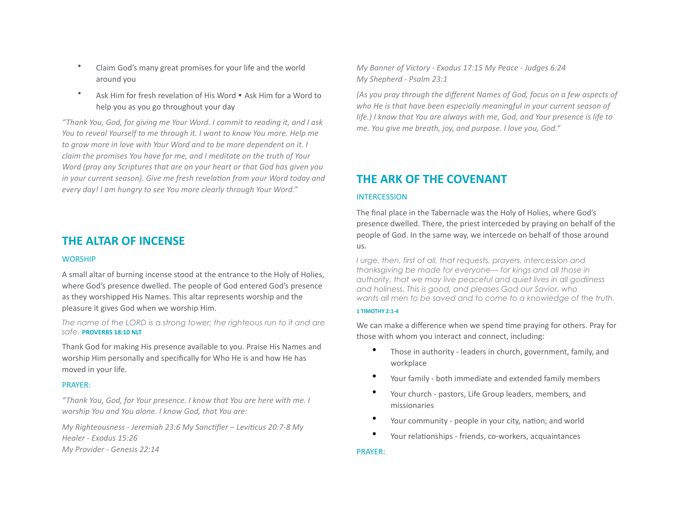- Claim God's many great promises for your life and the world around vou
- Ask Him for fresh revelation of His Word Ask Him for a Word to help you as you go throughout your day

*"Thank You, God, for giving me Your Word. I commit to reading it, and I ask You to reveal Yourself to me through it. I want to know You more. Help me to grow more in love with Your Word and to be more dependent on it. I claim* the promises You have for me, and I meditate on the truth of Your *Word* (pray any Scriptures that are on your heart or that God has given you *in* your current season). Give me fresh revelation from your Word today and *every day! I am hungry to see You more clearly through Your Word."* 

## **THE ALTAR OF INCENSE**

#### **WORSHIP**

A small altar of burning incense stood at the entrance to the Holy of Holies, where God's presence dwelled. The people of God entered God's presence as they worshipped His Names. This altar represents worship and the pleasure it gives God when we worship Him.

*The name of the LORD is a strong tower; the righteous run to it and are*  **safe. PROVERBS** 18:10 NLT

Thank God for making His presence available to you. Praise His Names and worship Him personally and specifically for Who He is and how He has moved in your life.

#### PRAYER:

*"Thank You, God, for Your presence. I know that You are here with me. I worship You and You alone. I know God, that You are:* 

*My Righteousness - Jeremiah 23:6 My Sanctifier – Leviticus 20:7-8 My* Healer - Exodus 15:26 *My Provider - Genesis 22:14* 

*My Banner of Victory - Exodus 17:15 My Peace - Judges 6:24 My Shepherd - Psalm 23:1* 

*(As you pray through the different Names of God, focus on a few aspects of* who He is that have been especially meaningful in your current season of *life.)* I know that You are always with me, God, and Your presence is life to *me. You give me breath, joy, and purpose. I love you, God."* 

# **THE ARK OF THE COVENANT**

#### **INTERCESSION**

The final place in the Tabernacle was the Holy of Holies, where God's presence dwelled. There, the priest interceded by praying on behalf of the people of God. In the same way, we intercede on behalf of those around us. 

*I urge, then, first of all, that requests, prayers, intercession and thanksgiving be made for everyone— for kings and all those in authority, that we may live peaceful and quiet lives in all godliness and holiness. This is good, and pleases God our Savior, who wants all men to be saved and to come to a knowledge of the truth.* 

#### **1 TIMOTHY 2:1-4**

We can make a difference when we spend time praying for others. Pray for those with whom you interact and connect, including:

- Those in authority leaders in church, government, family, and workplace
- Your family both immediate and extended family members
- Your church pastors, Life Group leaders, members, and missionaries
- Your community people in your city, nation, and world
- Your relationships friends, co-workers, acquaintances

#### PRAYER: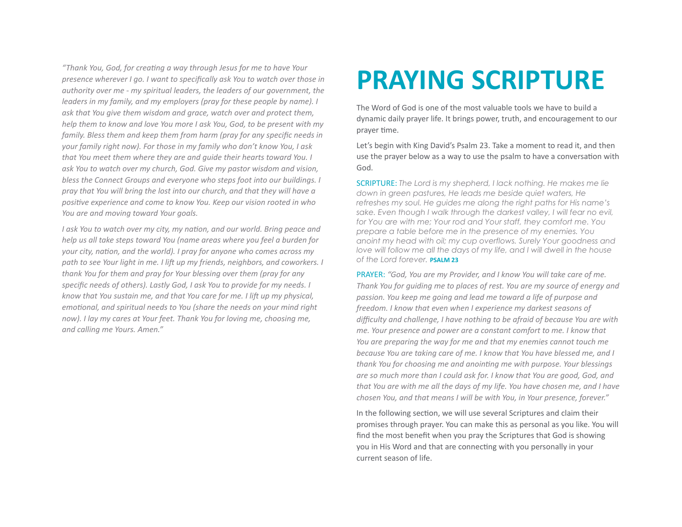*"Thank You, God, for creaBng a way through Jesus for me to have Your presence wherever I go. I want to specifically ask You to watch over those in authority* over me - my spiritual leaders, the leaders of our government, the *leaders in my family, and my employers (pray for these people by name). I* ask that You give them wisdom and grace, watch over and protect them, *help* them to know and love You more I ask You, God, to be present with my *family.* Bless them and keep them from harm (pray for any specific needs in *your family right now). For those in my family who don't know You, I ask* that You meet them where they are and quide their hearts toward You. I ask You to watch over my church, God. Give my pastor wisdom and vision, *bless the Connect Groups and everyone who steps foot into our buildings. I pray that You will bring the lost into our church, and that they will have a* positive experience and come to know You. Keep our vision rooted in who *You are and moving toward Your goals.* 

*I* ask You to watch over my city, my nation, and our world. Bring peace and *help* us all take steps toward You (name areas where you feel a burden for *your* city, nation, and the world). I pray for anyone who comes across my path to see Your light in me. I lift up my friends, neighbors, and coworkers. I *thank You for them and pray for Your blessing over them (pray for any* specific needs of others). Lastly God, I ask You to provide for my needs. I *know that You sustain me, and that You care for me. I lift up my physical, emotional, and spiritual needs to You (share the needs on your mind right now).* I lay my cares at Your feet. Thank You for loving me, choosing me, *and calling me Yours. Amen."* 

# **PRAYING SCRIPTURE**

The Word of God is one of the most valuable tools we have to build a dynamic daily prayer life. It brings power, truth, and encouragement to our prayer time.

Let's begin with King David's Psalm 23. Take a moment to read it, and then use the prayer below as a way to use the psalm to have a conversation with God. 

**SCRIPTURE:** The Lord is my shepherd, I lack nothing. He makes me lie *down in green pastures, He leads me beside quiet waters, He refreshes my soul. He guides me along the right paths for His name's sake. Even though I walk through the darkest valley, I will fear no evil, for You are with me; Your rod and Your staff, they comfort me. You prepare a table before me in the presence of my enemies. You anoint my head with oil; my cup overflows. Surely Your goodness and*  love will follow me all the days of my life, and I will dwell in the house of the Lord forever. **PSALM 23** 

PRAYER: "God, You are my Provider, and I know You will take care of me. *Thank You for quiding me to places of rest. You are my source of energy and passion. You keep me going and lead me toward a life of purpose and freedom.* I know that even when I experience my darkest seasons of difficulty and challenge, I have nothing to be afraid of because You are with *me. Your presence and power are a constant comfort to me. I know that You are preparing the way for me and that my enemies cannot touch me because You are taking care of me. I know that You have blessed me, and I thank You for choosing me and anointing me with purpose. Your blessings* are so much more than I could ask for. I know that You are good, God, and *that You are with me all the days of my life. You have chosen me, and I have chosen You, and that means I will be with You, in Your presence, forever."* 

In the following section, we will use several Scriptures and claim their promises through prayer. You can make this as personal as you like. You will find the most benefit when you pray the Scriptures that God is showing you in His Word and that are connecting with you personally in your current season of life.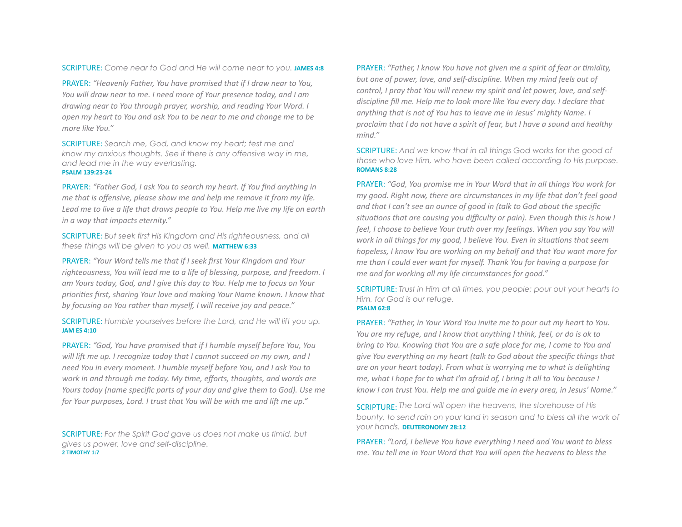**SCRIPTURE:** Come near to God and He will come near to you. JAMES 4:8

PRAYER: "Heavenly Father, You have promised that if I draw near to You, *You will draw near to me. I need more of Your presence today, and I am drawing near to You through prayer, worship, and reading Your Word. I open* my heart to You and ask You to be near to me and change me to be *more like You."* 

SCRIPTURE: *Search me, God, and know my heart; test me and know my anxious thoughts. See if there is any offensive way in me, and lead me in the way everlasting.*  **PSALM 139:23-24** 

PRAYER: "Father God, I ask You to search my heart. If You find anything in *me that is offensive, please show me and help me remove it from my life.* Lead me to live a life that draws people to You. Help me live my life on earth *in a way that impacts eternity."* 

**SCRIPTURE:** But seek first His Kingdom and His righteousness, and all *these things will be given to you as well. MATTHEW 6:33* 

PRAYER: "Your Word tells me that if I seek first Your Kingdom and Your righteousness, You will lead me to a life of blessing, purpose, and freedom. I am Yours today, God, and I give this day to You. Help me to focus on Your priorities first, sharing Your love and making Your Name known. I know that by focusing on You rather than myself, I will receive joy and peace."

SCRIPTURE: Humble yourselves before the Lord, and He will lift you up. **JAM ES 4:10** 

PRAYER: "God, You have promised that if I humble myself before You, You will lift me up. I recognize today that I cannot succeed on my own, and I *need You in every moment. I humble myself before You, and I ask You to work in and through me today. My time, efforts, thoughts, and words are Yours* today (name specific parts of your day and give them to God). Use me for Your purposes, Lord. I trust that You will be with me and lift me up."

**SCRIPTURE:** For the Spirit God gave us does not make us timid, but *gives us power, love and self-discipline.*  **2 TIMOTHY 1:7** 

PRAYER: "Father, I know You have not aiven me a spirit of fear or timidity, *but* one of power, love, and self-discipline. When my mind feels out of *control, I pray that You will renew my spirit and let power, love, and selfdiscipline fill me. Help me to look more like You every day. I declare that anything that is not of You has to leave me in Jesus' mighty Name. I proclaim* that *I* do not have a spirit of fear, but *I* have a sound and healthy *mind."* 

**SCRIPTURE:** And we know that in all things God works for the good of *those who love Him, who have been called according to His purpose.*  **ROMANS 8:28** 

PRAYER: "God, You promise me in Your Word that in all things You work for *my* good. Right now, there are circumstances in my life that don't feel good and that I can't see an ounce of good in (talk to God about the specific situations that are causing you difficulty or pain). Even though this is how I *feel, I choose to believe Your truth over my feelings. When you say You will work in all things for my good, I believe You. Even in situations that seem hopeless, I know You are working on my behalf and that You want more for me than I could ever want for myself. Thank You for having a purpose for me and for working all my life circumstances for good."* 

**SCRIPTURE:** Trust in Him at all times, you people; pour out your hearts to *Him, for God is our refuge.*  **PSALM 62:8** 

PRAYER: "Father, in Your Word You invite me to pour out my heart to You. *You are my refuge, and I know that anything I think, feel, or do is ok to bring* to You. Knowing that You are a safe place for me, I come to You and *give You everything on my heart (talk to God about the specific things that are* on your heart today). From what is worrying me to what is delighting *me, what I hope for to what I'm afraid of, I bring it all to You because I know I can trust You. Help me and quide me in every area, in Jesus' Name."* 

SCRIPTURE: The Lord will open the heavens, the storehouse of His *bounty, to send rain on your land in season and to bless all the work of <u>your hands</u>*. **DEUTERONOMY 28:12** 

**PRAYER:** "Lord, I believe You have everything I need and You want to bless *me. You tell me in Your Word that You will open the heavens to bless the*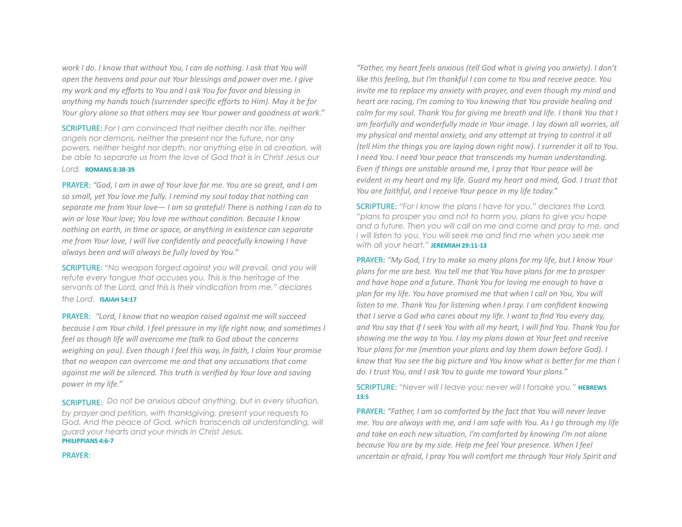*work I do. I know that without You, I can do nothing. I ask that You will open the heavens and pour out Your blessings and power over me. I give my* work and my efforts to You and I ask You for favor and blessing in anything my hands touch (surrender specific efforts to Him). May it be for *Your glory alone so that others may see Your power and goodness at work."* 

**SCRIPTURE:** For I am convinced that neither death nor life, neither *angels nor demons, neither the present nor the future, nor any*  powers, neither height nor depth, nor anything else in all creation, will *be able to separate us from the love of God that is in Christ Jesus our* 

#### *Lord.* **ROMANS 8:38-39**

PRAYER: "God, I am in awe of Your love for me. You are so great, and I am so small, yet You love me fully. I remind my soul today that nothing can separate me from Your love— I am so grateful! There is nothing I can do to win or lose Your love; You love me without condition. Because I know *nothing* on earth, in time or space, or anything in existence can separate *me from Your love, I will live confidently and peacefully knowing I have* always been and will always be fully loved by You."

SCRIPTURE: "No weapon forged against you will prevail, and you will *refute every tongue that accuses you. This is the heritage of the servants of the Lord, and this is their vindication from me," declares* 

the Lord. **ISAIAH 54:17** 

PRAYER: "Lord, I know that no weapon raised against me will succeed *because I am Your child. I feel pressure in my life right now, and sometimes I* feel as though life will overcome me (talk to God about the concerns *weighing on you).* Even though I feel this way, in faith, I claim Your promise *that no weapon can overcome me and that any accusations that come against me will be silenced. This truth is verified by Your love and saving power in my life."* 

SCRIPTURE: *Do not be anxious about anything, but in every situation, by prayer and petition, with thanksgiving, present your requests to*  God. And the peace of God, which transcends all understanding, will *guard your hearts and your minds in Christ Jesus.*  **PHILIPPIANS 4:6-7** 

PRAYER: 

*"Father, my heart feels anxious (tell God what is giving you anxiety). I don't like this feeling, but I'm thankful I can come to You and receive peace. You invite* me to replace my anxiety with prayer, and even though my mind and *heart are racing, I'm coming to You knowing that You provide healing and calm for my soul. Thank You for giving me breath and life. I thank You that I* am fearfully and wonderfully made in Your image. I lay down all worries, all *my* physical and mental anxiety, and any attempt at trying to control it all *(tell Him the things you are laying down right now). I surrender it all to You. I* need You. *I* need Your peace that transcends my human understanding. *Even* if things are unstable around me, I pray that Your peace will be *evident in my heart and my life. Guard my heart and mind, God. I trust that* You are faithful, and I receive Your peace in my life today."

SCRIPTURE: "For I know the plans I have for you," declares the Lord, *"plans to prosper you and not to harm you, plans to give you hope and a future. Then you will call on me and come and pray to me, and I will listen to you. You will seek me and find me when you seek me*  with all your heart." **JEREMIAH 29:11-13** 

PRAYER: "My God, I try to make so many plans for my life, but I know Your plans for me are best. You tell me that You have plans for me to prosper and have hope and a future. Thank You for loving me enough to have a plan for my life. You have promised me that when I call on You, You will *listen to me. Thank You for listening when I pray. I am confident knowing that I serve a God who cares about my life. I want to find You every day,* and You say that if I seek You with all my heart, I will find You. Thank You for showing me the way to You. I lay my plans down at Your feet and receive *Your plans for me (mention your plans and lay them down before God). I know that You see the big picture and You know what is better for me than I* do. I trust You, and I ask You to guide me toward Your plans."

SCRIPTURE: "Never will I leave you; never will I forsake you." **HEBREWS 13:5** 

PRAYER: "Father, I am so comforted by the fact that You will never leave *me. You are always with me, and I am safe with You. As I go through my life* and take on each new situation, I'm comforted by knowing I'm not alone *because You are by my side. Help me feel Your presence. When I feel uncertain or afraid, I pray You will comfort me through Your Holy Spirit and*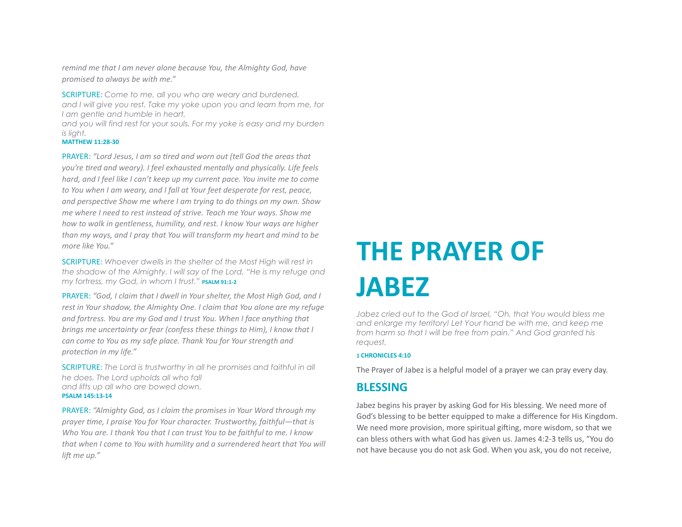*remind* me that I am never alone because You, the Almighty God, have *promised to always be with me."* 

SCRIPTURE: Come to me, all you who are weary and burdened, *and I will give you rest. Take my yoke upon you and learn from me, for I am gentle and humble in heart,* 

*and you will find rest for your souls. For my yoke is easy and my burden is light.* 

#### **MATTHEW 11:28-30**

PRAYER: "Lord Jesus, I am so tired and worn out (tell God the areas that *you're tired and weary).* I feel exhausted mentally and physically. Life feels *hard, and I feel like I can't keep up my current pace. You invite me to come to You when I am weary, and I fall at Your feet desperate for rest, peace,* and perspective Show me where I am trying to do things on my own. Show *me* where I need to rest instead of strive. Teach me Your ways. Show me *how to walk in gentleness, humility, and rest. I know Your ways are higher than* my ways, and I pray that You will transform my heart and mind to be *more like You."* 

SCRIPTURE: Whoever dwells in the shelter of the Most High will rest in *the shadow of the Almighty. I will say of the Lord, "He is my refuge and my fortress, my God, in whom I trust.*" **PSALM 91:1-2** 

PRAYER: "God, I claim that I dwell in Your shelter, the Most High God, and I *rest in Your shadow, the Almighty One. I claim that You alone are my refuge* and fortress. You are my God and I trust You. When I face anything that *brings* me uncertainty or fear (confess these things to Him), I know that I *can come to You as my safe place. Thank You for Your strength and* protection in my life."

**SCRIPTURE:** The Lord is trustworthy in all he promises and faithful in all *he does. The Lord upholds all who fall and lifts up all who are bowed down.*  **PSALM 145:13-14** 

PRAYER: "Almighty God, as I claim the promises in Your Word through my *prayer time, I praise You for Your character. Trustworthy, faithful—that is Who You are.* I thank You that I can trust You to be faithful to me. I know *that* when I come to You with humility and a surrendered heart that You will *lift me up."* 

# **THE PRAYER OF JABEZ**

*Jabez cried out to the God of Israel, "Oh, that You would bless me and enlarge my territory! Let Your hand be with me, and keep me from harm so that I will be free from pain." And God granted his request.* 

#### **1 CHRONICLES 4:10**

The Prayer of Jabez is a helpful model of a prayer we can pray every day.

### **BLESSING**

Jabez begins his prayer by asking God for His blessing. We need more of God's blessing to be better equipped to make a difference for His Kingdom. We need more provision, more spiritual gifting, more wisdom, so that we can bless others with what God has given us. James 4:2-3 tells us, "You do not have because you do not ask God. When you ask, you do not receive,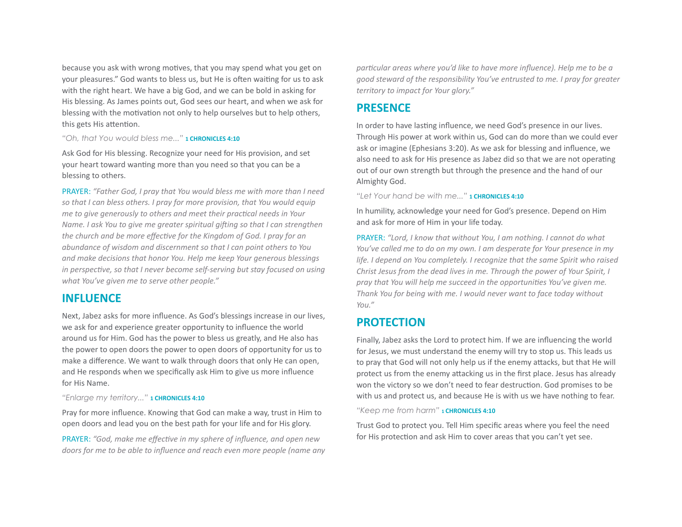because you ask with wrong motives, that you may spend what you get on your pleasures." God wants to bless us, but He is often waiting for us to ask with the right heart. We have a big God, and we can be bold in asking for His blessing. As James points out, God sees our heart, and when we ask for blessing with the motivation not only to help ourselves but to help others, this gets His attention.

#### "Oh, that You would bless me..." **1 CHRONICLES 4:10**

Ask God for His blessing. Recognize your need for His provision, and set your heart toward wanting more than you need so that you can be a blessing to others.

PRAYER: "Father God, I pray that You would bless me with more than I need *so that I can bless others. I pray for more provision, that You would equip me to give generously to others and meet their practical needs in Your Name.* I ask You to give me greater spiritual gifting so that I can strengthen *the church and be more effective for the Kingdom of God. I pray for an abundance of wisdom and discernment so that I can point others to You* and make decisions that honor You. Help me keep Your generous blessings *in perspective, so that I never become self-serving but stay focused on using* what You've given me to serve other people."

### **INFLUENCE**

Next, Jabez asks for more influence. As God's blessings increase in our lives, we ask for and experience greater opportunity to influence the world around us for Him. God has the power to bless us greatly, and He also has the power to open doors the power to open doors of opportunity for us to make a difference. We want to walk through doors that only He can open, and He responds when we specifically ask Him to give us more influence for His Name.

#### *"Enlarge my territory..."* **1 CHRONICLES 4:10**

Pray for more influence. Knowing that God can make a way, trust in Him to open doors and lead you on the best path for your life and for His glory.

PRAYER: "God, make me effective in my sphere of influence, and open new *doors* for me to be able to influence and reach even more people (name any particular areas where you'd like to have more influence). Help me to be a *good steward of the responsibility You've entrusted to me. I pray for greater* territory to impact for Your glory."

## **PRESENCE**

In order to have lasting influence, we need God's presence in our lives. Through His power at work within us, God can do more than we could ever ask or imagine (Ephesians 3:20). As we ask for blessing and influence, we also need to ask for His presence as Jabez did so that we are not operating out of our own strength but through the presence and the hand of our Almighty God.

#### *"Let Your hand be with me..."* **1 CHRONICLES 4:10**

In humility, acknowledge your need for God's presence. Depend on Him and ask for more of Him in your life today.

PRAYER: "Lord, I know that without You, I am nothing. I cannot do what *You've called me to do on my own.* I am desperate for Your presence in my *life.* I depend on You completely. I recognize that the same Spirit who raised *Christ Jesus from the dead lives in me. Through the power of Your Spirit, I* pray that You will help me succeed in the opportunities You've given me. Thank You for being with me. I would never want to face today without *You."* 

### **PROTECTION**

Finally, Jabez asks the Lord to protect him. If we are influencing the world for Jesus, we must understand the enemy will try to stop us. This leads us to pray that God will not only help us if the enemy attacks, but that He will protect us from the enemy attacking us in the first place. Jesus has already won the victory so we don't need to fear destruction. God promises to be with us and protect us, and because He is with us we have nothing to fear.

"Keep me from harm" **1 CHRONICLES 4:10** 

Trust God to protect you. Tell Him specific areas where you feel the need for His protection and ask Him to cover areas that you can't yet see.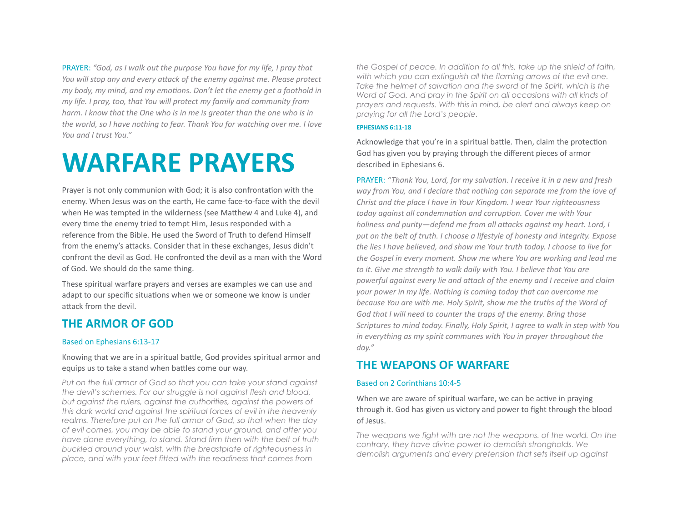PRAYER: "God, as I walk out the purpose You have for my life, I pray that *You will stop any and every attack of the enemy against me. Please protect my body, my mind, and my emotions. Don't let the enemy get a foothold in my* life. *I* pray, too, that You will protect my family and community from *harm.* I know that the One who is in me is greater than the one who is in *the world, so I have nothing to fear. Thank You for watching over me. I love You and I trust You."* 

# **WARFARE PRAYERS**

Prayer is not only communion with God; it is also confrontation with the enemy. When Jesus was on the earth, He came face-to-face with the devil when He was tempted in the wilderness (see Matthew 4 and Luke 4), and every time the enemy tried to tempt Him, Jesus responded with a reference from the Bible. He used the Sword of Truth to defend Himself from the enemy's attacks. Consider that in these exchanges, Jesus didn't confront the devil as God. He confronted the devil as a man with the Word of God. We should do the same thing.

These spiritual warfare prayers and verses are examples we can use and adapt to our specific situations when we or someone we know is under attack from the devil.

# **THE ARMOR OF GOD**

#### Based on Ephesians 6:13-17

Knowing that we are in a spiritual battle, God provides spiritual armor and equips us to take a stand when battles come our way.

*Put on the full armor of God so that you can take your stand against the devil's schemes. For our struggle is not against flesh and blood, but against the rulers, against the authorities, against the powers of this dark world and against the spiritual forces of evil in the heavenly realms. Therefore put on the full armor of God, so that when the day of evil comes, you may be able to stand your ground, and after you have done everything, to stand. Stand firm then with the belt of truth buckled around your waist, with the breastplate of righteousness in place, and with your feet fitted with the readiness that comes from* 

*the Gospel of peace. In addition to all this, take up the shield of faith, with which you can extinguish all the flaming arrows of the evil one.*  Take the helmet of salvation and the sword of the Spirit, which is the *Word of God. And pray in the Spirit on all occasions with all kinds of prayers and requests. With this in mind, be alert and always keep on praying for all the Lord's people.* 

#### **EPHESIANS 6:11-18**

Acknowledge that you're in a spiritual battle. Then, claim the protection God has given you by praying through the different pieces of armor described in Ephesians 6.

PRAYER: "Thank You, Lord, for my salvation. I receive it in a new and fresh way from You, and I declare that nothing can separate me from the love of *Christ and the place I have in Your Kingdom. I wear Your righteousness* today against all condemnation and corruption. Cover me with Your *holiness and purity—defend me from all attacks against my heart. Lord, I* put on the belt of truth. I choose a lifestyle of honesty and integrity. Expose the lies I have believed, and show me Your truth today. I choose to live for *the Gospel in every moment. Show me where You are working and lead me to it. Give me strength to walk daily with You. I believe that You are* powerful against every lie and attack of the enemy and I receive and claim *your power in my life. Nothing is coming today that can overcome me because You are with me. Holy Spirit, show me the truths of the Word of* God that I will need to counter the traps of the enemy. Bring those *Scriptures to mind today. Finally, Holy Spirit, I agree to walk in step with You in* everything as my spirit communes with You in prayer throughout the *day."* 

# **THE WEAPONS OF WARFARE**

#### Based on 2 Corinthians 10:4-5

When we are aware of spiritual warfare, we can be active in praying through it. God has given us victory and power to fight through the blood of Jesus. 

*The weapons we fight with are not the weapons. of the world. On the contrary, they have divine power to demolish strongholds. We demolish arguments and every pretension that sets itself up against*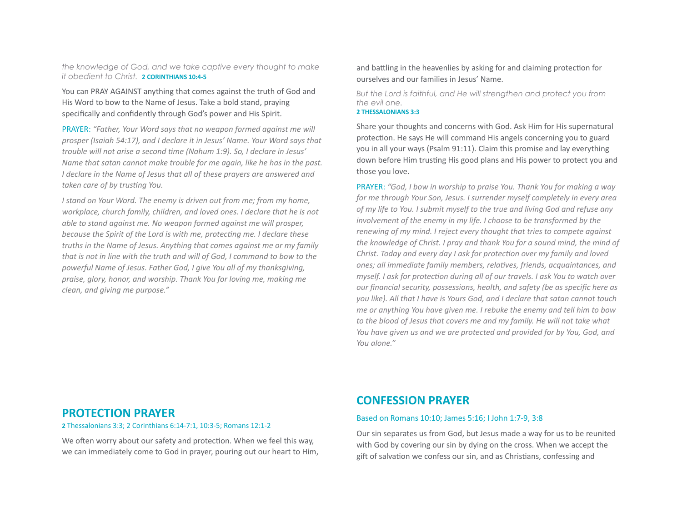*the knowledge of God, and we take captive every thought to make it obedient to Christ.* **2 CORINTHIANS 10:4-5** 

You can PRAY AGAINST anything that comes against the truth of God and His Word to bow to the Name of Jesus. Take a bold stand, praying specifically and confidently through God's power and His Spirit.

PRAYER: "Father, Your Word says that no weapon formed against me will *prosper* (Isaiah 54:17), and I declare it in Jesus' Name. Your Word says that trouble will not arise a second time (Nahum 1:9). So, I declare in Jesus' *Name that satan cannot make trouble for me again, like he has in the past. I* declare in the Name of Jesus that all of these prayers are answered and taken care of by trusting You.

*I* stand on Your Word. The enemy is driven out from me; from my home, *workplace, church family, children, and loved ones. I declare that he is not able to stand against me. No weapon formed against me will prosper, because the Spirit of the Lord is with me, protecting me. I declare these truths in the Name of Jesus. Anything that comes against me or my family that is not in line with the truth and will of God, I command to bow to the* powerful Name of Jesus. Father God, I give You all of my thanksgiving, praise, glory, honor, and worship. Thank You for loving me, making me *clean, and giving me purpose."* 

and battling in the heavenlies by asking for and claiming protection for ourselves and our families in Jesus' Name.

*But the Lord is faithful, and He will strengthen and protect you from the evil one.* 

#### **2 THESSALONIANS 3:3**

Share your thoughts and concerns with God. Ask Him for His supernatural protection. He says He will command His angels concerning you to guard you in all your ways (Psalm 91:11). Claim this promise and lay everything down before Him trusting His good plans and His power to protect you and those you love.

PRAYER: "God, I bow in worship to praise You. Thank You for making a way *for* me through Your Son, Jesus. I surrender myself completely in every area of my life to You. I submit myself to the true and living God and refuse any *involvement of the enemy in my life. I choose to be transformed by the renewing* of my mind. I reject every thought that tries to compete against *the knowledge of Christ. I pray and thank You for a sound mind, the mind of Christ. Today and every day I ask for protection over my family and loved ones;* all immediate family members, relatives, friends, acquaintances, and *myself.* I ask for protection during all of our travels. I ask You to watch over *our financial security, possessions, health, and safety (be as specific here as you like).* All that I have is Yours God, and I declare that satan cannot touch *me* or anything You have given me. I rebuke the enemy and tell him to bow to the blood of Jesus that covers me and my family. He will not take what *You have given us and we are protected and provided for by You, God, and You alone."* 

### **PROTECTION PRAYER**

**2** Thessalonians 3:3; 2 Corinthians 6:14-7:1, 10:3-5; Romans 12:1-2

We often worry about our safety and protection. When we feel this way, we can immediately come to God in prayer, pouring out our heart to Him,

# **CONFESSION PRAYER**

#### Based on Romans 10:10; James 5:16; I John 1:7-9, 3:8

Our sin separates us from God, but Jesus made a way for us to be reunited with God by covering our sin by dying on the cross. When we accept the gift of salvation we confess our sin, and as Christians, confessing and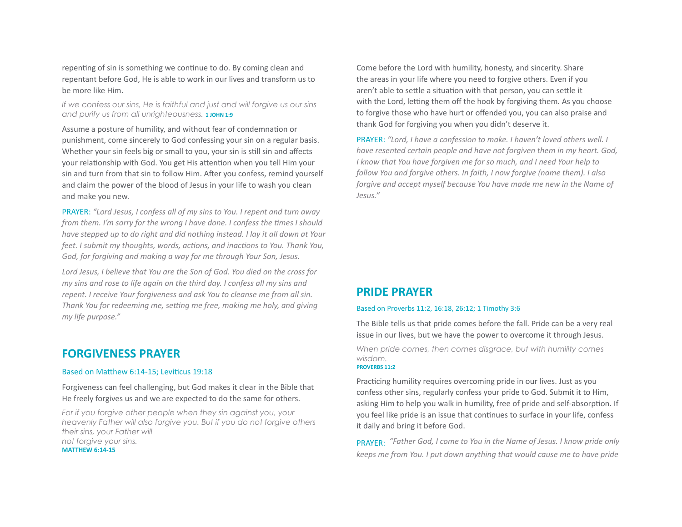repenting of sin is something we continue to do. By coming clean and repentant before God. He is able to work in our lives and transform us to be more like Him. 

*If we confess our sins, He is faithful and just and will forgive us our sins*  and purify us from all unrighteousness. **1 JOHN 1:9** 

Assume a posture of humility, and without fear of condemnation or punishment, come sincerely to God confessing your sin on a regular basis. Whether your sin feels big or small to you, your sin is still sin and affects your relationship with God. You get His attention when you tell Him your sin and turn from that sin to follow Him. After you confess, remind yourself and claim the power of the blood of Jesus in your life to wash you clean and make you new.

PRAYER: "Lord Jesus, I confess all of my sins to You. I repent and turn away *from them. I'm sorry for the wrong I have done. I confess the times I should have stepped up to do right and did nothing instead. I lay it all down at Your feet. I submit my thoughts, words, actions, and inactions to You. Thank You,* God, for forgiving and making a way for me through Your Son, Jesus.

Lord Jesus, I believe that You are the Son of God. You died on the cross for *my* sins and rose to life again on the third day. I confess all my sins and *repent. I receive Your forgiveness and ask You to cleanse me from all sin. Thank You for redeeming me, setting me free, making me holy, and giving my life purpose."* 

## **FORGIVENESS PRAYER**

#### Based on Matthew 6:14-15; Leviticus 19:18

Forgiveness can feel challenging, but God makes it clear in the Bible that He freely forgives us and we are expected to do the same for others.

*For if you forgive other people when they sin against you, your heavenly Father will also forgive you. But if you do not forgive others their sins, your Father will not forgive your sins.*  **MATTHEW 6:14-15** 

Come before the Lord with humility, honesty, and sincerity. Share the areas in your life where you need to forgive others. Even if you aren't able to settle a situation with that person, you can settle it with the Lord, letting them off the hook by forgiving them. As you choose to forgive those who have hurt or offended you, you can also praise and thank God for forgiving you when you didn't deserve it.

PRAYER: "Lord, I have a confession to make. I haven't loved others well. I *have resented certain people and have not forgiven them in my heart. God, I* know that You have forgiven me for so much, and *I* need Your help to *follow You and forgive others. In faith, I now forgive (name them). I also forgive and accept myself because You have made me new in the Name of Jesus."* 

## **PRIDE PRAYER**

#### Based on Proverbs 11:2, 16:18, 26:12; 1 Timothy 3:6

The Bible tells us that pride comes before the fall. Pride can be a very real issue in our lives, but we have the power to overcome it through Jesus.

*When pride comes, then comes disgrace, but with humility comes wisdom.* 

#### **PROVERBS 11:2**

Practicing humility requires overcoming pride in our lives. Just as you confess other sins, regularly confess your pride to God. Submit it to Him, asking Him to help you walk in humility, free of pride and self-absorption. If you feel like pride is an issue that continues to surface in your life, confess it daily and bring it before God.

PRAYFR: "Father God, I come to You in the Name of Jesus. I know pride only *keeps* me from You. I put down anything that would cause me to have pride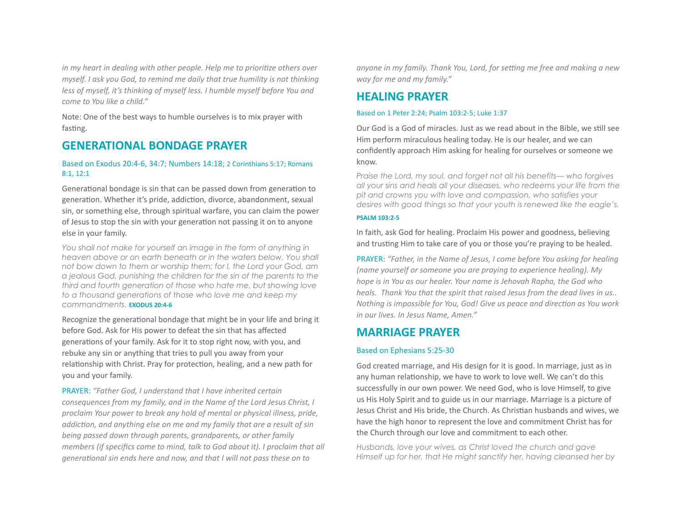*in* my heart in dealing with other people. Help me to prioritize others over *myself.* I ask you God, to remind me daily that true humility is not thinking *less of myself, it's thinking of myself less. I humble myself before You and come to You like a child."* 

Note: One of the best ways to humble ourselves is to mix prayer with fasting.

## **GENERATIONAL BONDAGE PRAYER**

#### Based on Exodus 20:4-6, 34:7; Numbers 14:18; 2 Corinthians 5:17; Romans 8:1, 12:1

Generational bondage is sin that can be passed down from generation to generation. Whether it's pride, addiction, divorce, abandonment, sexual sin, or something else, through spiritual warfare, you can claim the power of Jesus to stop the sin with your generation not passing it on to anyone else in your family.

*You shall not make for yourself an image in the form of anything in heaven above or on earth beneath or in the waters below. You shall not bow down to them or worship them; for I, the Lord your God, am a jealous God, punishing the children for the sin of the parents to the third and fourth generation of those who hate me, but showing love to a thousand generations of those who love me and keep my commandments*. *EXODUS* 20:4-6

Recognize the generational bondage that might be in your life and bring it before God. Ask for His power to defeat the sin that has affected generations of your family. Ask for it to stop right now, with you, and rebuke any sin or anything that tries to pull you away from your relationship with Christ. Pray for protection, healing, and a new path for you and your family.

**PRAYER:** "Father God, I understand that I have inherited certain *consequences from my family, and in the Name of the Lord Jesus Christ, I* proclaim Your power to break any hold of mental or physical illness, pride, *addiction, and anything else on me and my family that are a result of sin being passed down through parents, grandparents, or other family members (if specifics come to mind, talk to God about it). I proclaim that all generational sin ends here and now, and that I will not pass these on to* 

anyone in my family. Thank You, Lord, for setting me free and making a new *way for me and my family."* 

# **HEALING PRAYER**

#### Based on 1 Peter 2:24; Psalm 103:2-5; Luke 1:37

Our God is a God of miracles. Just as we read about in the Bible, we still see Him perform miraculous healing today. He is our healer, and we can confidently approach Him asking for healing for ourselves or someone we know. 

*Praise the Lord, my soul, and forget not all his benefits— who forgives all your sins and heals all your diseases, who redeems your life from the pit and crowns you with love and compassion, who satisfies your desires with good things so that your youth is renewed like the eagle's.* 

#### **PSALM 103:2-5**

In faith, ask God for healing. Proclaim His power and goodness, believing and trusting Him to take care of you or those you're praying to be healed.

PRAYER: "Father, in the Name of Jesus, I come before You asking for healing *(name yourself or someone you are praying to experience healing). My hope is in You as our healer. Your name is Jehovah Rapha, the God who heals.* Thank You that the spirit that raised Jesus from the dead lives in us.. *Nothing is impossible for You, God! Give us peace and direction as You work in our lives. In Jesus Name, Amen."* 

# **MARRIAGE PRAYER**

#### Based on Ephesians 5:25-30

God created marriage, and His design for it is good. In marriage, just as in any human relationship, we have to work to love well. We can't do this successfully in our own power. We need God, who is love Himself, to give us His Holy Spirit and to guide us in our marriage. Marriage is a picture of Jesus Christ and His bride, the Church. As Christian husbands and wives, we have the high honor to represent the love and commitment Christ has for the Church through our love and commitment to each other.

*Husbands, love your wives, as Christ loved the church and gave Himself up for her, that He might sanctify her, having cleansed her by*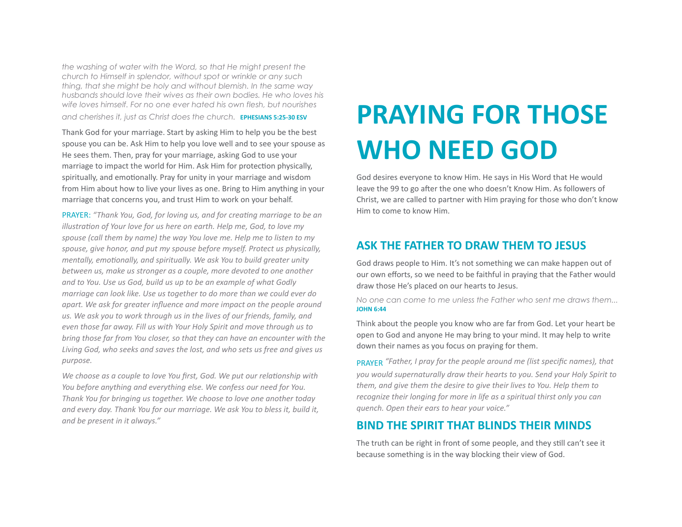*the washing of water with the Word, so that He might present the church to Himself in splendor, without spot or wrinkle or any such thing, that she might be holy and without blemish. In the same way husbands should love their wives as their own bodies. He who loves his wife loves himself. For no one ever hated his own flesh, but nourishes*  and cherishes it, just as Christ does the church. **EPHESIANS 5:25-30 ESV** 

Thank God for your marriage. Start by asking Him to help you be the best spouse you can be. Ask Him to help you love well and to see your spouse as He sees them. Then, pray for your marriage, asking God to use your marriage to impact the world for Him. Ask Him for protection physically, spiritually, and emotionally. Pray for unity in your marriage and wisdom from Him about how to live your lives as one. Bring to Him anything in your marriage that concerns you, and trust Him to work on your behalf.

PRAYER: "Thank You, God, for loving us, and for creating marriage to be an *illustration of Your love for us here on earth. Help me, God, to love my* spouse (call them by name) the way You love me. Help me to listen to my spouse, give honor, and put my spouse before myself. Protect us physically, *mentally, emotionally, and spiritually. We ask You to build greater unity between us, make us stronger as a couple, more devoted to one another* and to You. Use us God, build us up to be an example of what Godly *marriage can look like. Use us together to do more than we could ever do* apart. We ask for greater influence and more impact on the people around us. We ask you to work through us in the lives of our friends, family, and *even those far away. Fill us with Your Holy Spirit and move through us to bring* those far from You closer, so that they can have an encounter with the Living God, who seeks and saves the lost, and who sets us free and gives us *purpose.* 

We choose as a couple to love You first, God. We put our relationship with *You before anything and everything else. We confess our need for You.* Thank You for bringing us together. We choose to love one another today and every day. Thank You for our marriage. We ask You to bless it, build it, and be present in it always."

# **PRAYING FOR THOSE WHO NEED GOD**

God desires everyone to know Him. He says in His Word that He would leave the 99 to go after the one who doesn't Know Him. As followers of Christ, we are called to partner with Him praying for those who don't know Him to come to know Him.

# **ASK THE FATHER TO DRAW THEM TO JESUS**

God draws people to Him. It's not something we can make happen out of our own efforts, so we need to be faithful in praying that the Father would draw those He's placed on our hearts to Jesus.

*No one can come to me unless the Father who sent me draws them...*  **JOHN 6:44** 

Think about the people you know who are far from God. Let your heart be open to God and anyone He may bring to your mind. It may help to write down their names as you focus on praying for them.

PRAYFR "Father, I pray for the people around me (list specific names), that you would supernaturally draw their hearts to you. Send your Holy Spirit to *them, and give them the desire to give their lives to You. Help them to recognize their longing for more in life as a spiritual thirst only you can quench. Open their ears to hear your voice."* 

## **BIND THE SPIRIT THAT BLINDS THEIR MINDS**

The truth can be right in front of some people, and they still can't see it because something is in the way blocking their view of God.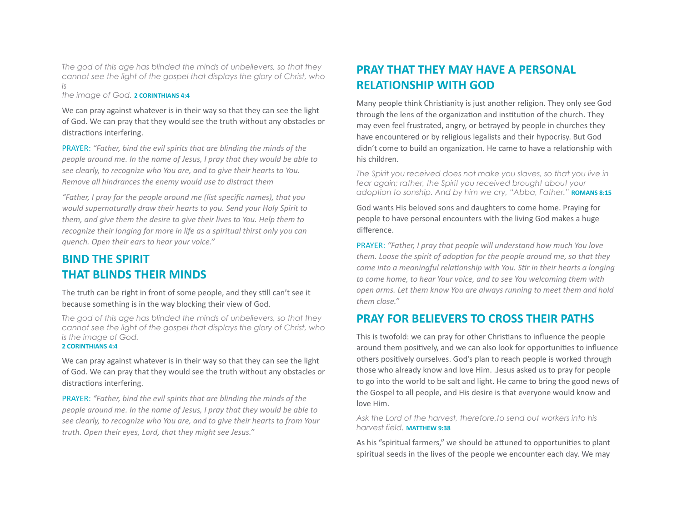*The god of this age has blinded the minds of unbelievers, so that they cannot see the light of the gospel that displays the glory of Christ, who is* 

*the image of God.* **2 CORINTHIANS 4:4** 

We can pray against whatever is in their way so that they can see the light of God. We can pray that they would see the truth without any obstacles or distractions interfering.

PRAYER: "Father, bind the evil spirits that are blinding the minds of the *people around me. In the name of Jesus, I pray that they would be able to* see clearly, to recognize who You are, and to give their hearts to You. *Remove all hindrances the enemy would use to distract them* 

*"Father, I pray for the people around me (list specific names), that you* would supernaturally draw their hearts to you. Send your Holy Spirit to *them, and give them the desire to give their lives to You. Help them to recognize their longing for more in life as a spiritual thirst only you can quench. Open their ears to hear your voice."* 

# **BIND THE SPIRIT THAT BLINDS THEIR MINDS**

The truth can be right in front of some people, and they still can't see it because something is in the way blocking their view of God.

*The god of this age has blinded the minds of unbelievers, so that they cannot see the light of the gospel that displays the glory of Christ, who is the image of God.*  **2 CORINTHIANS 4:4** 

We can pray against whatever is in their way so that they can see the light of God. We can pray that they would see the truth without any obstacles or distractions interfering.

PRAYER: "Father, bind the evil spirits that are blinding the minds of the *people around me. In the name of Jesus, I pray that they would be able to* see clearly, to recognize who You are, and to give their hearts to from Your truth. Open their eyes, Lord, that they might see Jesus."

# **PRAY THAT THEY MAY HAVE A PERSONAL RELATIONSHIP WITH GOD**

Many people think Christianity is just another religion. They only see God through the lens of the organization and institution of the church. They may even feel frustrated, angry, or betrayed by people in churches they have encountered or by religious legalists and their hypocrisy. But God didn't come to build an organization. He came to have a relationship with his children.

*The Spirit you received does not make you slaves, so that you live in fear again; rather, the Spirit you received brought about your*  adoption to sonship. And by him we cry, "Abba, Father." **ROMANS 8:15** 

God wants His beloved sons and daughters to come home. Praying for people to have personal encounters with the living God makes a huge difference. 

PRAYER: "Father, I pray that people will understand how much You love *them. Loose the spirit of adoption for the people around me, so that they come into a meaningful relationship with You. Stir in their hearts a longing* to come home, to hear Your voice, and to see You welcoming them with open arms. Let them know You are always running to meet them and hold them close."

# **PRAY FOR BELIEVERS TO CROSS THEIR PATHS**

This is twofold: we can pray for other Christians to influence the people around them positively, and we can also look for opportunities to influence others positively ourselves. God's plan to reach people is worked through those who already know and love Him. Jesus asked us to pray for people to go into the world to be salt and light. He came to bring the good news of the Gospel to all people, and His desire is that everyone would know and love Him.

*Ask the Lord of the harvest, therefore,to send out workers into his harvest field.* **MATTHEW 9:38** 

As his "spiritual farmers," we should be attuned to opportunities to plant spiritual seeds in the lives of the people we encounter each day. We may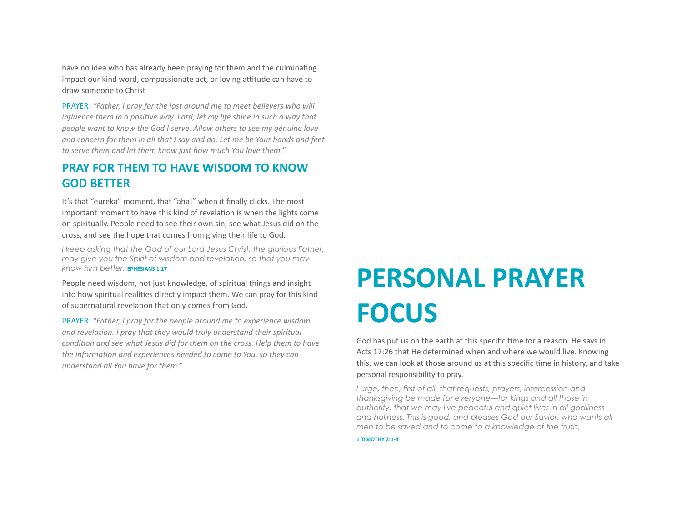have no idea who has already been praying for them and the culminating impact our kind word, compassionate act, or loving attitude can have to draw someone to Christ 

PRAYER: "Father, I pray for the lost around me to meet believers who will *influence them in a positive way. Lord, let my life shine in such a way that people want to know the God I serve. Allow others to see my genuine love* and concern for them in all that I say and do. Let me be Your hands and feet to serve them and let them know just how much You love them."

# **PRAY FOR THEM TO HAVE WISDOM TO KNOW GOD BETTER**

It's that "eureka" moment, that "aha!" when it finally clicks. The most important moment to have this kind of revelation is when the lights come on spiritually. People need to see their own sin, see what Jesus did on the cross, and see the hope that comes from giving their life to God.

*I keep asking that the God of our Lord Jesus Christ, the glorious Father, may give you the Spirit of wisdom and revelation, so that you may know him better.* **EPHESIANS 1:17** 

People need wisdom, not just knowledge, of spiritual things and insight into how spiritual realities directly impact them. We can pray for this kind of supernatural revelation that only comes from God.

**PRAYER:** "Father, I pray for the people around me to experience wisdom and revelation. I pray that they would truly understand their spiritual *condition and see what Jesus did for them on the cross. Help them to have* the information and experiences needed to come to You, so they can *understand all You have for them."* 

# **PERSONAL PRAYER FOCUS**

God has put us on the earth at this specific time for a reason. He says in Acts 17:26 that He determined when and where we would live. Knowing this, we can look at those around us at this specific time in history, and take personal responsibility to pray.

*I urge, then, first of all, that requests, prayers, intercession and thanksgiving be made for everyone—for kings and all those in authority, that we may live peaceful and quiet lives in all godliness and holiness. This is good, and pleases God our Savior, who wants all men to be saved and to come to a knowledge of the truth.* 

**1 TIMOTHY 2:1-4**